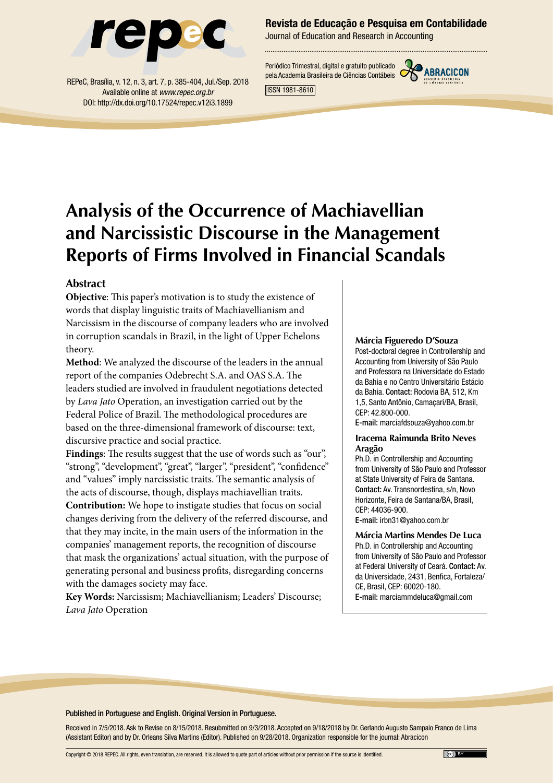

REPeC, Brasília, v. 12, n. 3, art. 7, p. 385-404, Jul./Sep. 2018 Available online at *www.repec.org.br* DOI: http://dx.doi.org/10.17524/repec.v12i3.1899

Revista de Educação e Pesquisa em Contabilidade

Journal of Education and Research in Accounting

Periódico Trimestral, digital e gratuito publicado pela Academia Brasileira de Ciências Contábeis



ISSN 1981-8610

# **Analysis of the Occurrence of Machiavellian and Narcissistic Discourse in the Management Reports of Firms Involved in Financial Scandals**

#### **Abstract**

**Objective**: This paper's motivation is to study the existence of words that display linguistic traits of Machiavellianism and Narcissism in the discourse of company leaders who are involved in corruption scandals in Brazil, in the light of Upper Echelons theory.

**Method**: We analyzed the discourse of the leaders in the annual report of the companies Odebrecht S.A. and OAS S.A. The leaders studied are involved in fraudulent negotiations detected by *Lava Jato* Operation, an investigation carried out by the Federal Police of Brazil. The methodological procedures are based on the three-dimensional framework of discourse: text, discursive practice and social practice.

**Findings**: The results suggest that the use of words such as "our", "strong", "development", "great", "larger", "president", "confidence" and "values" imply narcissistic traits. The semantic analysis of the acts of discourse, though, displays machiavellian traits.

**Contribution:** We hope to instigate studies that focus on social changes deriving from the delivery of the referred discourse, and that they may incite, in the main users of the information in the companies' management reports, the recognition of discourse that mask the organizations' actual situation, with the purpose of generating personal and business profits, disregarding concerns with the damages society may face.

**Key Words:** Narcissism; Machiavellianism; Leaders' Discourse; *Lava Jato* Operation

#### **Márcia Figueredo D'Souza**

Post-doctoral degree in Controllership and Accounting from University of São Paulo and Professora na Universidade do Estado da Bahia e no Centro Universitário Estácio da Bahia. Contact: Rodovia BA, 512, Km 1,5, Santo Antônio, Camaçari/BA, Brasil, CEP: 42.800-000.

E-mail: [marciafdsouza@yahoo.com.br](mailto:marciafdsouza@yahoo.com.br)

#### **Iracema Raimunda Brito Neves Aragão**

Ph.D. in Controllership and Accounting from University of São Paulo and Professor at State University of Feira de Santana. Contact: Av. Transnordestina, s/n, Novo Horizonte, Feira de Santana/BA, Brasil, CEP: 44036-900.

E-mail: [irbn31@yahoo.com.br](mailto:irbn31@yahoo.com.br)

**Márcia Martins Mendes De Luca** Ph.D. in Controllership and Accounting from University of São Paulo and Professor at Federal University of Ceará. Contact: Av. da Universidade, 2431, Benfica, Fortaleza/ CE, Brasil, CEP: 60020-180. E-mail: [marciammdeluca@gmail.com](mailto:marciammdeluca@gmail.com)

#### Published in Portuguese and English. Original Version in Portuguese.

Received in 7/5/2018. Ask to Revise on 8/15/2018. Resubmitted on 9/3/2018. Accepted on 9/18/2018 by Dr. Gerlando Augusto Sampaio Franco de Lima (Assistant Editor) and by Dr. Orleans Silva Martins (Editor). Published on 9/28/2018. Organization responsible for the journal: Abracicon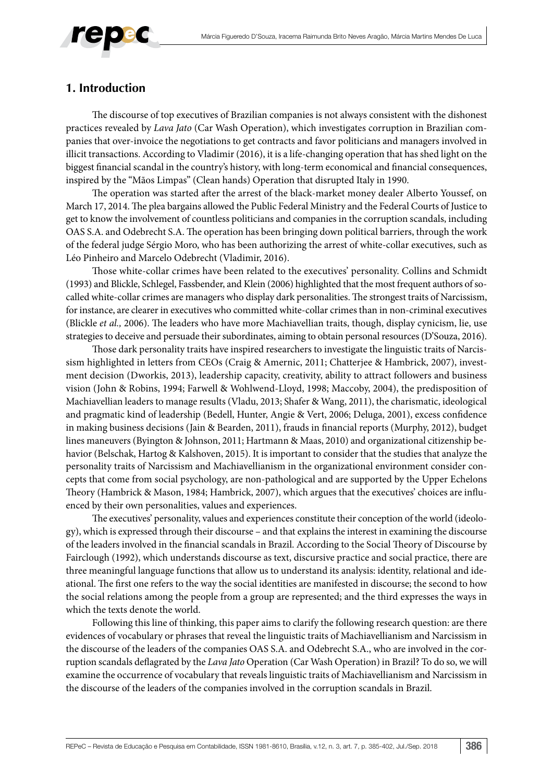

## **1. Introduction**

The discourse of top executives of Brazilian companies is not always consistent with the dishonest practices revealed by *Lava Jato* (Car Wash Operation), which investigates corruption in Brazilian companies that over-invoice the negotiations to get contracts and favor politicians and managers involved in illicit transactions. According to Vladimir (2016), it is a life-changing operation that has shed light on the biggest financial scandal in the country's history, with long-term economical and financial consequences, inspired by the "Mãos Limpas" (Clean hands) Operation that disrupted Italy in 1990.

The operation was started after the arrest of the black-market money dealer Alberto Youssef, on March 17, 2014. The plea bargains allowed the Public Federal Ministry and the Federal Courts of Justice to get to know the involvement of countless politicians and companies in the corruption scandals, including OAS S.A. and Odebrecht S.A. The operation has been bringing down political barriers, through the work of the federal judge Sérgio Moro, who has been authorizing the arrest of white-collar executives, such as Léo Pinheiro and Marcelo Odebrecht (Vladimir, 2016).

Those white-collar crimes have been related to the executives' personality. Collins and Schmidt (1993) and Blickle, Schlegel, Fassbender, and Klein (2006) highlighted that the most frequent authors of socalled white-collar crimes are managers who display dark personalities. The strongest traits of Narcissism, for instance, are clearer in executives who committed white-collar crimes than in non-criminal executives (Blickle *et al.,* 2006). The leaders who have more Machiavellian traits, though, display cynicism, lie, use strategies to deceive and persuade their subordinates, aiming to obtain personal resources (D'Souza, 2016).

Those dark personality traits have inspired researchers to investigate the linguistic traits of Narcissism highlighted in letters from CEOs (Craig & Amernic, 2011; Chatterjee & Hambrick, 2007), investment decision (Dworkis, 2013), leadership capacity, creativity, ability to attract followers and business vision (John & Robins, 1994; Farwell & Wohlwend-Lloyd, 1998; Maccoby, 2004), the predisposition of Machiavellian leaders to manage results (Vladu, 2013; Shafer & Wang, 2011), the charismatic, ideological and pragmatic kind of leadership (Bedell, Hunter, Angie & Vert, 2006; Deluga, 2001), excess confidence in making business decisions (Jain & Bearden, 2011), frauds in financial reports (Murphy, 2012), budget lines maneuvers (Byington & Johnson, 2011; Hartmann & Maas, 2010) and organizational citizenship behavior (Belschak, Hartog & Kalshoven, 2015). It is important to consider that the studies that analyze the personality traits of Narcissism and Machiavellianism in the organizational environment consider concepts that come from social psychology, are non-pathological and are supported by the Upper Echelons Theory (Hambrick & Mason, 1984; Hambrick, 2007), which argues that the executives' choices are influenced by their own personalities, values and experiences.

The executives' personality, values and experiences constitute their conception of the world (ideology), which is expressed through their discourse – and that explains the interest in examining the discourse of the leaders involved in the financial scandals in Brazil. According to the Social Theory of Discourse by Fairclough (1992), which understands discourse as text, discursive practice and social practice, there are three meaningful language functions that allow us to understand its analysis: identity, relational and ideational. The first one refers to the way the social identities are manifested in discourse; the second to how the social relations among the people from a group are represented; and the third expresses the ways in which the texts denote the world.

Following this line of thinking, this paper aims to clarify the following research question: are there evidences of vocabulary or phrases that reveal the linguistic traits of Machiavellianism and Narcissism in the discourse of the leaders of the companies OAS S.A. and Odebrecht S.A., who are involved in the corruption scandals deflagrated by the *Lava Jato* Operation (Car Wash Operation) in Brazil? To do so, we will examine the occurrence of vocabulary that reveals linguistic traits of Machiavellianism and Narcissism in the discourse of the leaders of the companies involved in the corruption scandals in Brazil.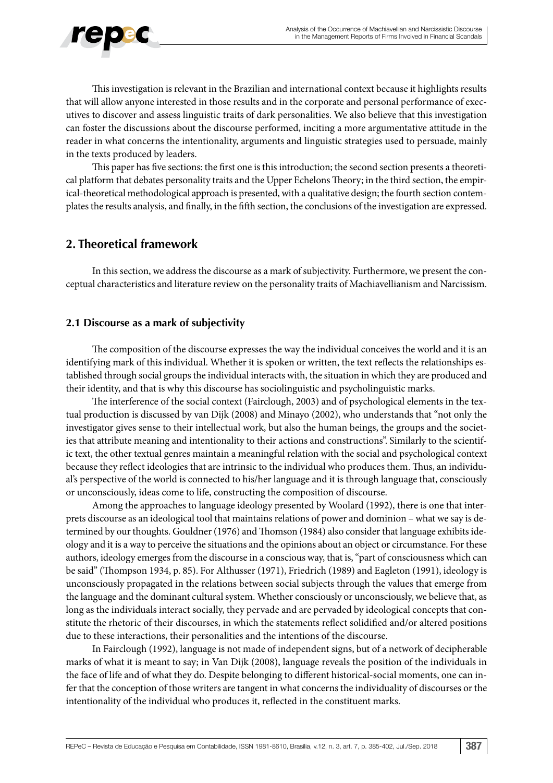

This investigation is relevant in the Brazilian and international context because it highlights results that will allow anyone interested in those results and in the corporate and personal performance of executives to discover and assess linguistic traits of dark personalities. We also believe that this investigation can foster the discussions about the discourse performed, inciting a more argumentative attitude in the reader in what concerns the intentionality, arguments and linguistic strategies used to persuade, mainly in the texts produced by leaders.

This paper has five sections: the first one is this introduction; the second section presents a theoretical platform that debates personality traits and the Upper Echelons Theory; in the third section, the empirical-theoretical methodological approach is presented, with a qualitative design; the fourth section contemplates the results analysis, and finally, in the fifth section, the conclusions of the investigation are expressed.

## **2. Theoretical framework**

In this section, we address the discourse as a mark of subjectivity. Furthermore, we present the conceptual characteristics and literature review on the personality traits of Machiavellianism and Narcissism.

#### **2.1 Discourse as a mark of subjectivity**

The composition of the discourse expresses the way the individual conceives the world and it is an identifying mark of this individual. Whether it is spoken or written, the text reflects the relationships established through social groups the individual interacts with, the situation in which they are produced and their identity, and that is why this discourse has sociolinguistic and psycholinguistic marks.

The interference of the social context (Fairclough, 2003) and of psychological elements in the textual production is discussed by van Dijk (2008) and Minayo (2002), who understands that "not only the investigator gives sense to their intellectual work, but also the human beings, the groups and the societies that attribute meaning and intentionality to their actions and constructions". Similarly to the scientific text, the other textual genres maintain a meaningful relation with the social and psychological context because they reflect ideologies that are intrinsic to the individual who produces them. Thus, an individual's perspective of the world is connected to his/her language and it is through language that, consciously or unconsciously, ideas come to life, constructing the composition of discourse.

Among the approaches to language ideology presented by Woolard (1992), there is one that interprets discourse as an ideological tool that maintains relations of power and dominion – what we say is determined by our thoughts. Gouldner (1976) and Thomson (1984) also consider that language exhibits ideology and it is a way to perceive the situations and the opinions about an object or circumstance. For these authors, ideology emerges from the discourse in a conscious way, that is, "part of consciousness which can be said" (Thompson 1934, p. 85). For Althusser (1971), Friedrich (1989) and Eagleton (1991), ideology is unconsciously propagated in the relations between social subjects through the values that emerge from the language and the dominant cultural system. Whether consciously or unconsciously, we believe that, as long as the individuals interact socially, they pervade and are pervaded by ideological concepts that constitute the rhetoric of their discourses, in which the statements reflect solidified and/or altered positions due to these interactions, their personalities and the intentions of the discourse.

In Fairclough (1992), language is not made of independent signs, but of a network of decipherable marks of what it is meant to say; in Van Dijk (2008), language reveals the position of the individuals in the face of life and of what they do. Despite belonging to different historical-social moments, one can infer that the conception of those writers are tangent in what concerns the individuality of discourses or the intentionality of the individual who produces it, reflected in the constituent marks.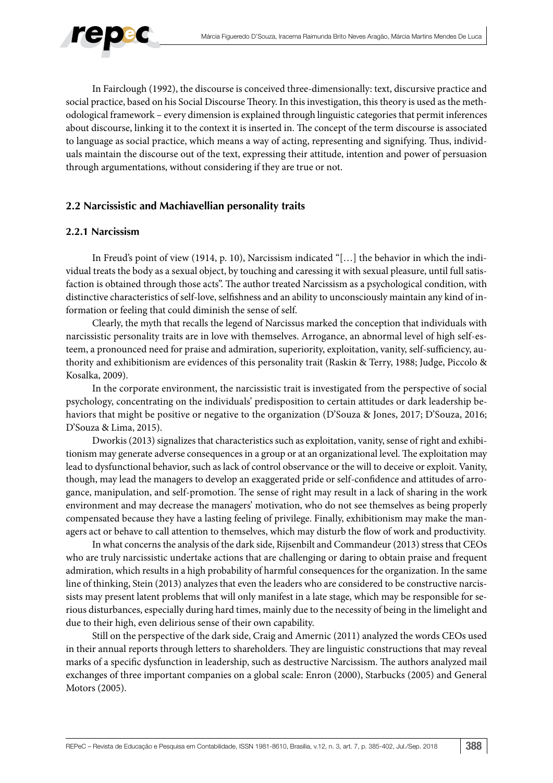

In Fairclough (1992), the discourse is conceived three-dimensionally: text, discursive practice and social practice, based on his Social Discourse Theory. In this investigation, this theory is used as the methodological framework – every dimension is explained through linguistic categories that permit inferences about discourse, linking it to the context it is inserted in. The concept of the term discourse is associated to language as social practice, which means a way of acting, representing and signifying. Thus, individuals maintain the discourse out of the text, expressing their attitude, intention and power of persuasion through argumentations, without considering if they are true or not.

## **2.2 Narcissistic and Machiavellian personality traits**

#### **2.2.1 Narcissism**

In Freud's point of view (1914, p. 10), Narcissism indicated "[…] the behavior in which the individual treats the body as a sexual object, by touching and caressing it with sexual pleasure, until full satisfaction is obtained through those acts". The author treated Narcissism as a psychological condition, with distinctive characteristics of self-love, selfishness and an ability to unconsciously maintain any kind of information or feeling that could diminish the sense of self.

Clearly, the myth that recalls the legend of Narcissus marked the conception that individuals with narcissistic personality traits are in love with themselves. Arrogance, an abnormal level of high self-esteem, a pronounced need for praise and admiration, superiority, exploitation, vanity, self-sufficiency, authority and exhibitionism are evidences of this personality trait (Raskin & Terry, 1988; Judge, Piccolo & Kosalka, 2009).

In the corporate environment, the narcissistic trait is investigated from the perspective of social psychology, concentrating on the individuals' predisposition to certain attitudes or dark leadership behaviors that might be positive or negative to the organization (D'Souza & Jones, 2017; D'Souza, 2016; D'Souza & Lima, 2015).

Dworkis (2013) signalizes that characteristics such as exploitation, vanity, sense of right and exhibitionism may generate adverse consequences in a group or at an organizational level. The exploitation may lead to dysfunctional behavior, such as lack of control observance or the will to deceive or exploit. Vanity, though, may lead the managers to develop an exaggerated pride or self-confidence and attitudes of arrogance, manipulation, and self-promotion. The sense of right may result in a lack of sharing in the work environment and may decrease the managers' motivation, who do not see themselves as being properly compensated because they have a lasting feeling of privilege. Finally, exhibitionism may make the managers act or behave to call attention to themselves, which may disturb the flow of work and productivity.

In what concerns the analysis of the dark side, Rijsenbilt and Commandeur (2013) stress that CEOs who are truly narcissistic undertake actions that are challenging or daring to obtain praise and frequent admiration, which results in a high probability of harmful consequences for the organization. In the same line of thinking, Stein (2013) analyzes that even the leaders who are considered to be constructive narcissists may present latent problems that will only manifest in a late stage, which may be responsible for serious disturbances, especially during hard times, mainly due to the necessity of being in the limelight and due to their high, even delirious sense of their own capability.

Still on the perspective of the dark side, Craig and Amernic (2011) analyzed the words CEOs used in their annual reports through letters to shareholders. They are linguistic constructions that may reveal marks of a specific dysfunction in leadership, such as destructive Narcissism. The authors analyzed mail exchanges of three important companies on a global scale: Enron (2000), Starbucks (2005) and General Motors (2005).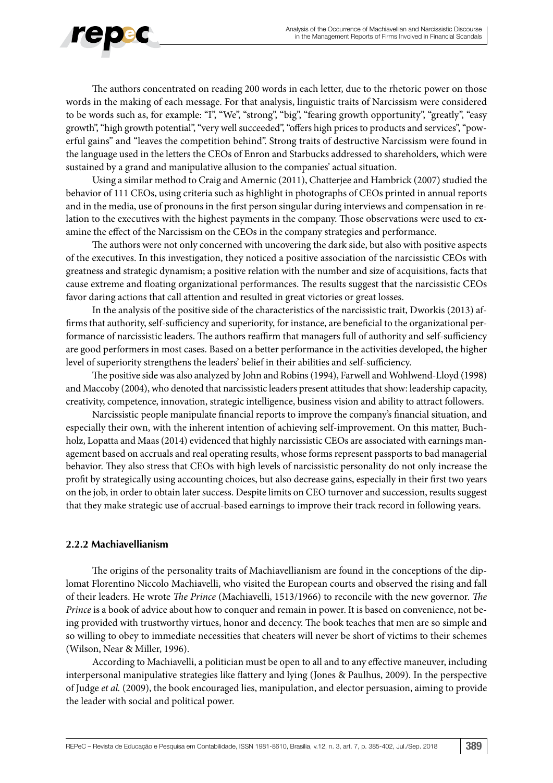

The authors concentrated on reading 200 words in each letter, due to the rhetoric power on those words in the making of each message. For that analysis, linguistic traits of Narcissism were considered to be words such as, for example: "I", "We", "strong", "big", "fearing growth opportunity", "greatly", "easy growth", "high growth potential", "very well succeeded", "offers high prices to products and services", "powerful gains" and "leaves the competition behind". Strong traits of destructive Narcissism were found in the language used in the letters the CEOs of Enron and Starbucks addressed to shareholders, which were sustained by a grand and manipulative allusion to the companies' actual situation.

Using a similar method to Craig and Amernic (2011), Chatterjee and Hambrick (2007) studied the behavior of 111 CEOs, using criteria such as highlight in photographs of CEOs printed in annual reports and in the media, use of pronouns in the first person singular during interviews and compensation in relation to the executives with the highest payments in the company. Those observations were used to examine the effect of the Narcissism on the CEOs in the company strategies and performance.

The authors were not only concerned with uncovering the dark side, but also with positive aspects of the executives. In this investigation, they noticed a positive association of the narcissistic CEOs with greatness and strategic dynamism; a positive relation with the number and size of acquisitions, facts that cause extreme and floating organizational performances. The results suggest that the narcissistic CEOs favor daring actions that call attention and resulted in great victories or great losses.

In the analysis of the positive side of the characteristics of the narcissistic trait, Dworkis (2013) affirms that authority, self-sufficiency and superiority, for instance, are beneficial to the organizational performance of narcissistic leaders. The authors reaffirm that managers full of authority and self-sufficiency are good performers in most cases. Based on a better performance in the activities developed, the higher level of superiority strengthens the leaders' belief in their abilities and self-sufficiency.

The positive side was also analyzed by John and Robins (1994), Farwell and Wohlwend-Lloyd (1998) and Maccoby (2004), who denoted that narcissistic leaders present attitudes that show: leadership capacity, creativity, competence, innovation, strategic intelligence, business vision and ability to attract followers.

Narcissistic people manipulate financial reports to improve the company's financial situation, and especially their own, with the inherent intention of achieving self-improvement. On this matter, Buchholz, Lopatta and Maas (2014) evidenced that highly narcissistic CEOs are associated with earnings management based on accruals and real operating results, whose forms represent passports to bad managerial behavior. They also stress that CEOs with high levels of narcissistic personality do not only increase the profit by strategically using accounting choices, but also decrease gains, especially in their first two years on the job, in order to obtain later success. Despite limits on CEO turnover and succession, results suggest that they make strategic use of accrual-based earnings to improve their track record in following years.

#### **2.2.2 Machiavellianism**

The origins of the personality traits of Machiavellianism are found in the conceptions of the diplomat Florentino Niccolo Machiavelli, who visited the European courts and observed the rising and fall of their leaders. He wrote *The Prince* (Machiavelli, 1513/1966) to reconcile with the new governor. *The Prince* is a book of advice about how to conquer and remain in power. It is based on convenience, not being provided with trustworthy virtues, honor and decency. The book teaches that men are so simple and so willing to obey to immediate necessities that cheaters will never be short of victims to their schemes (Wilson, Near & Miller, 1996).

According to Machiavelli, a politician must be open to all and to any effective maneuver, including interpersonal manipulative strategies like flattery and lying (Jones & Paulhus, 2009). In the perspective of Judge *et al.* (2009), the book encouraged lies, manipulation, and elector persuasion, aiming to provide the leader with social and political power.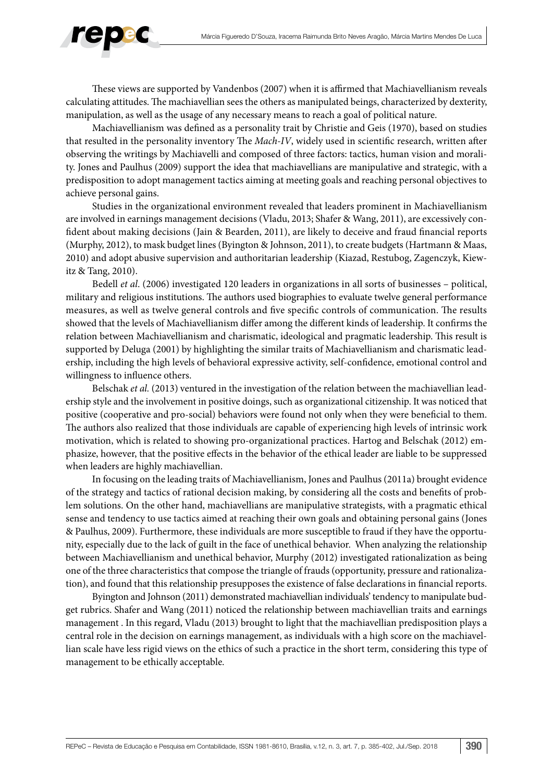

These views are supported by Vandenbos (2007) when it is affirmed that Machiavellianism reveals calculating attitudes. The machiavellian sees the others as manipulated beings, characterized by dexterity, manipulation, as well as the usage of any necessary means to reach a goal of political nature.

Machiavellianism was defined as a personality trait by Christie and Geis (1970), based on studies that resulted in the personality inventory The *Mach-IV*, widely used in scientific research, written after observing the writings by Machiavelli and composed of three factors: tactics, human vision and morality. Jones and Paulhus (2009) support the idea that machiavellians are manipulative and strategic, with a predisposition to adopt management tactics aiming at meeting goals and reaching personal objectives to achieve personal gains.

Studies in the organizational environment revealed that leaders prominent in Machiavellianism are involved in earnings management decisions (Vladu, 2013; Shafer & Wang, 2011), are excessively confident about making decisions (Jain & Bearden, 2011), are likely to deceive and fraud financial reports (Murphy, 2012), to mask budget lines (Byington & Johnson, 2011), to create budgets (Hartmann & Maas, 2010) and adopt abusive supervision and authoritarian leadership (Kiazad, Restubog, Zagenczyk, Kiewitz & Tang, 2010).

Bedell *et al*. (2006) investigated 120 leaders in organizations in all sorts of businesses – political, military and religious institutions. The authors used biographies to evaluate twelve general performance measures, as well as twelve general controls and five specific controls of communication. The results showed that the levels of Machiavellianism differ among the different kinds of leadership. It confirms the relation between Machiavellianism and charismatic, ideological and pragmatic leadership. This result is supported by Deluga (2001) by highlighting the similar traits of Machiavellianism and charismatic leadership, including the high levels of behavioral expressive activity, self-confidence, emotional control and willingness to influence others.

Belschak *et al.* (2013) ventured in the investigation of the relation between the machiavellian leadership style and the involvement in positive doings, such as organizational citizenship. It was noticed that positive (cooperative and pro-social) behaviors were found not only when they were beneficial to them. The authors also realized that those individuals are capable of experiencing high levels of intrinsic work motivation, which is related to showing pro-organizational practices. Hartog and Belschak (2012) emphasize, however, that the positive effects in the behavior of the ethical leader are liable to be suppressed when leaders are highly machiavellian.

In focusing on the leading traits of Machiavellianism, Jones and Paulhus (2011a) brought evidence of the strategy and tactics of rational decision making, by considering all the costs and benefits of problem solutions. On the other hand, machiavellians are manipulative strategists, with a pragmatic ethical sense and tendency to use tactics aimed at reaching their own goals and obtaining personal gains (Jones & Paulhus, 2009). Furthermore, these individuals are more susceptible to fraud if they have the opportunity, especially due to the lack of guilt in the face of unethical behavior. When analyzing the relationship between Machiavellianism and unethical behavior, Murphy (2012) investigated rationalization as being one of the three characteristics that compose the triangle of frauds (opportunity, pressure and rationalization), and found that this relationship presupposes the existence of false declarations in financial reports.

Byington and Johnson (2011) demonstrated machiavellian individuals' tendency to manipulate budget rubrics. Shafer and Wang (2011) noticed the relationship between machiavellian traits and earnings management . In this regard, Vladu (2013) brought to light that the machiavellian predisposition plays a central role in the decision on earnings management, as individuals with a high score on the machiavellian scale have less rigid views on the ethics of such a practice in the short term, considering this type of management to be ethically acceptable.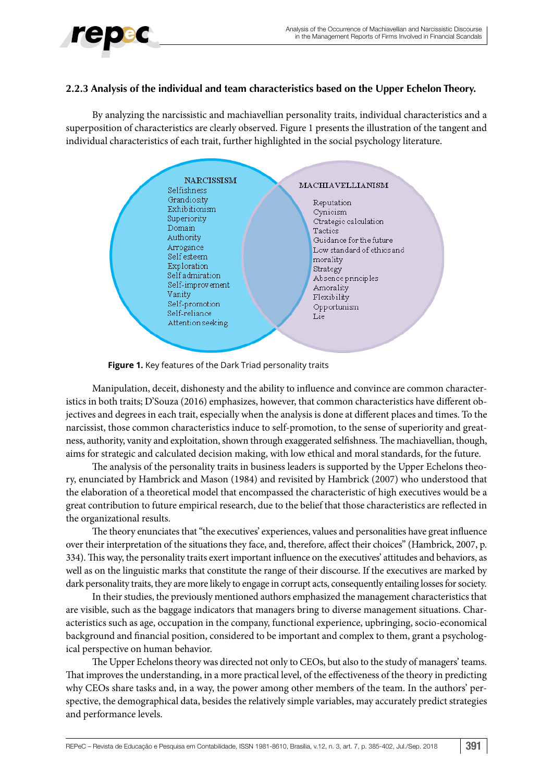#### **2.2.3 Analysis of the individual and team characteristics based on the Upper Echelon Theory.**

By analyzing the narcissistic and machiavellian personality traits, individual characteristics and a superposition of characteristics are clearly observed. Figure 1 presents the illustration of the tangent and individual characteristics of each trait, further highlighted in the social psychology literature.



**Figure 1.** Key features of the Dark Triad personality traits

Manipulation, deceit, dishonesty and the ability to influence and convince are common characteristics in both traits; D'Souza (2016) emphasizes, however, that common characteristics have different objectives and degrees in each trait, especially when the analysis is done at different places and times. To the narcissist, those common characteristics induce to self-promotion, to the sense of superiority and greatness, authority, vanity and exploitation, shown through exaggerated selfishness. The machiavellian, though, aims for strategic and calculated decision making, with low ethical and moral standards, for the future.

The analysis of the personality traits in business leaders is supported by the Upper Echelons theory, enunciated by Hambrick and Mason (1984) and revisited by Hambrick (2007) who understood that the elaboration of a theoretical model that encompassed the characteristic of high executives would be a great contribution to future empirical research, due to the belief that those characteristics are reflected in the organizational results.

The theory enunciates that "the executives' experiences, values and personalities have great influence over their interpretation of the situations they face, and, therefore, affect their choices" (Hambrick, 2007, p. 334). This way, the personality traits exert important influence on the executives' attitudes and behaviors, as well as on the linguistic marks that constitute the range of their discourse. If the executives are marked by dark personality traits, they are more likely to engage in corrupt acts, consequently entailing losses for society.

In their studies, the previously mentioned authors emphasized the management characteristics that are visible, such as the baggage indicators that managers bring to diverse management situations. Characteristics such as age, occupation in the company, functional experience, upbringing, socio-economical background and financial position, considered to be important and complex to them, grant a psychological perspective on human behavior.

The Upper Echelons theory was directed not only to CEOs, but also to the study of managers' teams. That improves the understanding, in a more practical level, of the effectiveness of the theory in predicting why CEOs share tasks and, in a way, the power among other members of the team. In the authors' perspective, the demographical data, besides the relatively simple variables, may accurately predict strategies and performance levels.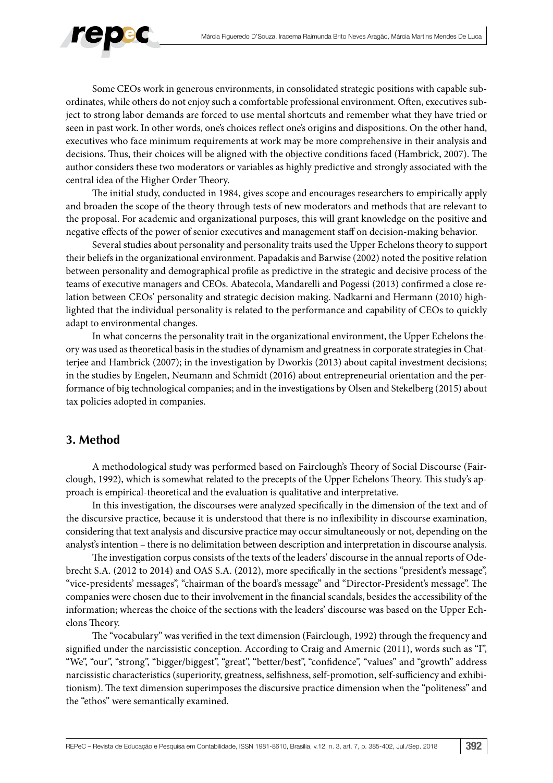

Some CEOs work in generous environments, in consolidated strategic positions with capable subordinates, while others do not enjoy such a comfortable professional environment. Often, executives subject to strong labor demands are forced to use mental shortcuts and remember what they have tried or seen in past work. In other words, one's choices reflect one's origins and dispositions. On the other hand, executives who face minimum requirements at work may be more comprehensive in their analysis and decisions. Thus, their choices will be aligned with the objective conditions faced (Hambrick, 2007). The author considers these two moderators or variables as highly predictive and strongly associated with the central idea of the Higher Order Theory.

The initial study, conducted in 1984, gives scope and encourages researchers to empirically apply and broaden the scope of the theory through tests of new moderators and methods that are relevant to the proposal. For academic and organizational purposes, this will grant knowledge on the positive and negative effects of the power of senior executives and management staff on decision-making behavior.

Several studies about personality and personality traits used the Upper Echelons theory to support their beliefs in the organizational environment. Papadakis and Barwise (2002) noted the positive relation between personality and demographical profile as predictive in the strategic and decisive process of the teams of executive managers and CEOs. Abatecola, Mandarelli and Pogessi (2013) confirmed a close relation between CEOs' personality and strategic decision making. Nadkarni and Hermann (2010) highlighted that the individual personality is related to the performance and capability of CEOs to quickly adapt to environmental changes.

In what concerns the personality trait in the organizational environment, the Upper Echelons theory was used as theoretical basis in the studies of dynamism and greatness in corporate strategies in Chatterjee and Hambrick (2007); in the investigation by Dworkis (2013) about capital investment decisions; in the studies by Engelen, Neumann and Schmidt (2016) about entrepreneurial orientation and the performance of big technological companies; and in the investigations by Olsen and Stekelberg (2015) about tax policies adopted in companies.

## **3. Method**

A methodological study was performed based on Fairclough's Theory of Social Discourse (Fairclough, 1992), which is somewhat related to the precepts of the Upper Echelons Theory. This study's approach is empirical-theoretical and the evaluation is qualitative and interpretative.

In this investigation, the discourses were analyzed specifically in the dimension of the text and of the discursive practice, because it is understood that there is no inflexibility in discourse examination, considering that text analysis and discursive practice may occur simultaneously or not, depending on the analyst's intention – there is no delimitation between description and interpretation in discourse analysis.

The investigation corpus consists of the texts of the leaders' discourse in the annual reports of Odebrecht S.A. (2012 to 2014) and OAS S.A. (2012), more specifically in the sections "president's message", "vice-presidents' messages", "chairman of the board's message" and "Director-President's message". The companies were chosen due to their involvement in the financial scandals, besides the accessibility of the information; whereas the choice of the sections with the leaders' discourse was based on the Upper Echelons Theory.

The "vocabulary" was verified in the text dimension (Fairclough, 1992) through the frequency and signified under the narcissistic conception. According to Craig and Amernic (2011), words such as "I", "We", "our", "strong", "bigger/biggest", "great", "better/best", "confidence", "values" and "growth" address narcissistic characteristics (superiority, greatness, selfishness, self-promotion, self-sufficiency and exhibitionism). The text dimension superimposes the discursive practice dimension when the "politeness" and the "ethos" were semantically examined.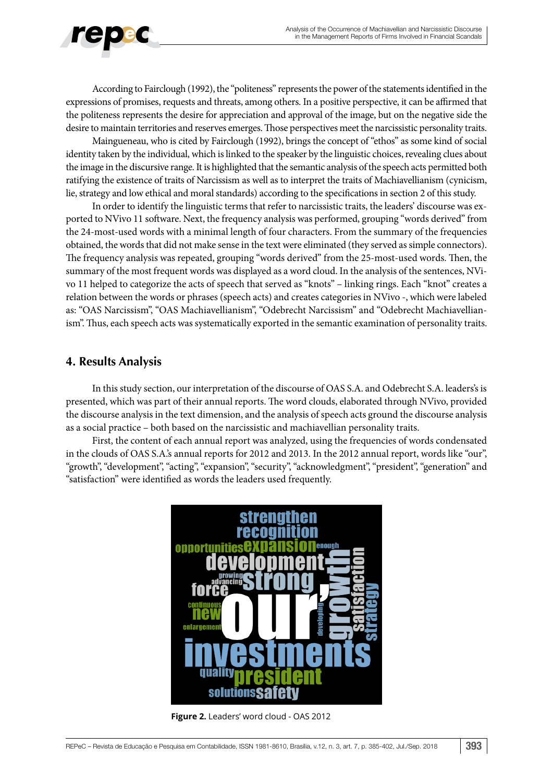

According to Fairclough (1992), the "politeness" represents the power of the statements identified in the expressions of promises, requests and threats, among others. In a positive perspective, it can be affirmed that the politeness represents the desire for appreciation and approval of the image, but on the negative side the desire to maintain territories and reserves emerges. Those perspectives meet the narcissistic personality traits.

Maingueneau, who is cited by Fairclough (1992), brings the concept of "ethos" as some kind of social identity taken by the individual, which is linked to the speaker by the linguistic choices, revealing clues about the image in the discursive range. It is highlighted that the semantic analysis of the speech acts permitted both ratifying the existence of traits of Narcissism as well as to interpret the traits of Machiavellianism (cynicism, lie, strategy and low ethical and moral standards) according to the specifications in section 2 of this study.

In order to identify the linguistic terms that refer to narcissistic traits, the leaders' discourse was exported to NVivo 11 software. Next, the frequency analysis was performed, grouping "words derived" from the 24-most-used words with a minimal length of four characters. From the summary of the frequencies obtained, the words that did not make sense in the text were eliminated (they served as simple connectors). The frequency analysis was repeated, grouping "words derived" from the 25-most-used words. Then, the summary of the most frequent words was displayed as a word cloud. In the analysis of the sentences, NVivo 11 helped to categorize the acts of speech that served as "knots" – linking rings. Each "knot" creates a relation between the words or phrases (speech acts) and creates categories in NVivo -, which were labeled as: "OAS Narcissism", "OAS Machiavellianism", "Odebrecht Narcissism" and "Odebrecht Machiavellianism". Thus, each speech acts was systematically exported in the semantic examination of personality traits.

# **4. Results Analysis**

In this study section, our interpretation of the discourse of OAS S.A. and Odebrecht S.A. leaders's is presented, which was part of their annual reports. The word clouds, elaborated through NVivo, provided the discourse analysis in the text dimension, and the analysis of speech acts ground the discourse analysis as a social practice – both based on the narcissistic and machiavellian personality traits.

First, the content of each annual report was analyzed, using the frequencies of words condensated in the clouds of OAS S.A.'s annual reports for 2012 and 2013. In the 2012 annual report, words like "our", "growth", "development", "acting", "expansion", "security", "acknowledgment", "president", "generation" and "satisfaction" were identified as words the leaders used frequently.



**Figure 2.** Leaders' word cloud - OAS 2012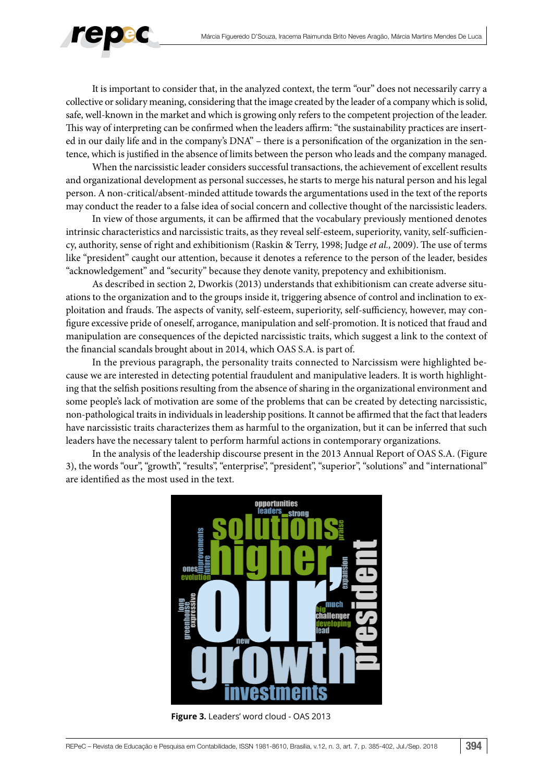

It is important to consider that, in the analyzed context, the term "our" does not necessarily carry a collective or solidary meaning, considering that the image created by the leader of a company which is solid, safe, well-known in the market and which is growing only refers to the competent projection of the leader. This way of interpreting can be confirmed when the leaders affirm: "the sustainability practices are inserted in our daily life and in the company's DNA" – there is a personification of the organization in the sentence, which is justified in the absence of limits between the person who leads and the company managed.

When the narcissistic leader considers successful transactions, the achievement of excellent results and organizational development as personal successes, he starts to merge his natural person and his legal person. A non-critical/absent-minded attitude towards the argumentations used in the text of the reports may conduct the reader to a false idea of social concern and collective thought of the narcissistic leaders.

In view of those arguments, it can be affirmed that the vocabulary previously mentioned denotes intrinsic characteristics and narcissistic traits, as they reveal self-esteem, superiority, vanity, self-sufficiency, authority, sense of right and exhibitionism (Raskin & Terry, 1998; Judge *et al.,* 2009). The use of terms like "president" caught our attention, because it denotes a reference to the person of the leader, besides "acknowledgement" and "security" because they denote vanity, prepotency and exhibitionism.

As described in section 2, Dworkis (2013) understands that exhibitionism can create adverse situations to the organization and to the groups inside it, triggering absence of control and inclination to exploitation and frauds. The aspects of vanity, self-esteem, superiority, self-sufficiency, however, may configure excessive pride of oneself, arrogance, manipulation and self-promotion. It is noticed that fraud and manipulation are consequences of the depicted narcissistic traits, which suggest a link to the context of the financial scandals brought about in 2014, which OAS S.A. is part of.

In the previous paragraph, the personality traits connected to Narcissism were highlighted because we are interested in detecting potential fraudulent and manipulative leaders. It is worth highlighting that the selfish positions resulting from the absence of sharing in the organizational environment and some people's lack of motivation are some of the problems that can be created by detecting narcissistic, non-pathological traits in individuals in leadership positions. It cannot be affirmed that the fact that leaders have narcissistic traits characterizes them as harmful to the organization, but it can be inferred that such leaders have the necessary talent to perform harmful actions in contemporary organizations.

In the analysis of the leadership discourse present in the 2013 Annual Report of OAS S.A. (Figure 3), the words "our", "growth", "results", "enterprise", "president", "superior", "solutions" and "international" are identified as the most used in the text.



**Figure 3.** Leaders' word cloud - OAS 2013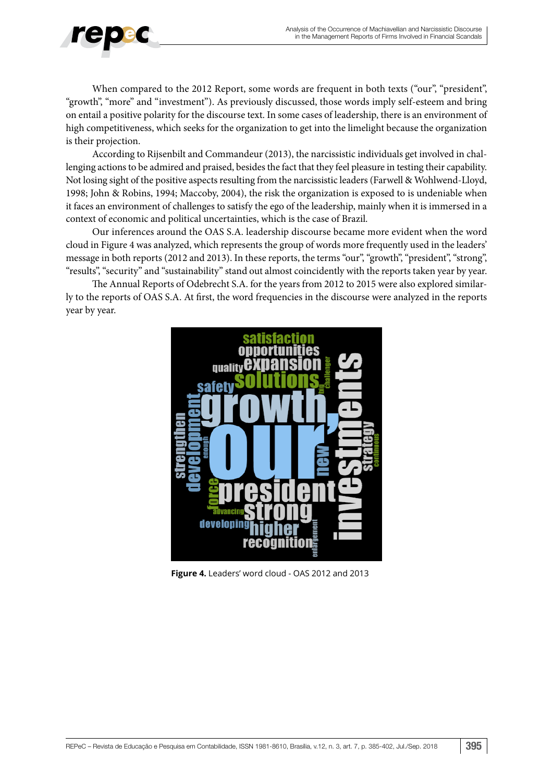

When compared to the 2012 Report, some words are frequent in both texts ("our", "president", "growth", "more" and "investment"). As previously discussed, those words imply self-esteem and bring on entail a positive polarity for the discourse text. In some cases of leadership, there is an environment of high competitiveness, which seeks for the organization to get into the limelight because the organization is their projection.

According to Rijsenbilt and Commandeur (2013), the narcissistic individuals get involved in challenging actions to be admired and praised, besides the fact that they feel pleasure in testing their capability. Not losing sight of the positive aspects resulting from the narcissistic leaders (Farwell & Wohlwend-Lloyd, 1998; John & Robins, 1994; Maccoby, 2004), the risk the organization is exposed to is undeniable when it faces an environment of challenges to satisfy the ego of the leadership, mainly when it is immersed in a context of economic and political uncertainties, which is the case of Brazil.

Our inferences around the OAS S.A. leadership discourse became more evident when the word cloud in Figure 4 was analyzed, which represents the group of words more frequently used in the leaders' message in both reports (2012 and 2013). In these reports, the terms "our", "growth", "president", "strong", "results", "security" and "sustainability" stand out almost coincidently with the reports taken year by year.

The Annual Reports of Odebrecht S.A. for the years from 2012 to 2015 were also explored similarly to the reports of OAS S.A. At first, the word frequencies in the discourse were analyzed in the reports year by year.



**Figure 4.** Leaders' word cloud - OAS 2012 and 2013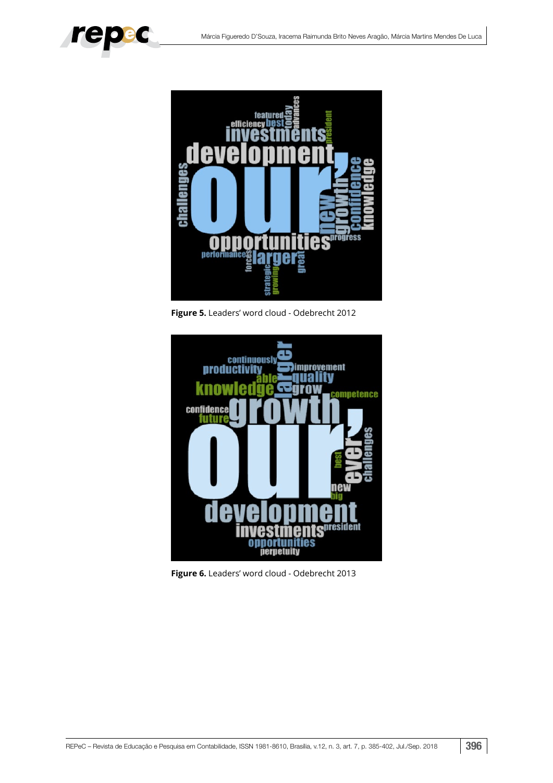



**Figure 5.** Leaders' word cloud - Odebrecht 2012



**Figure 6.** Leaders' word cloud - Odebrecht 2013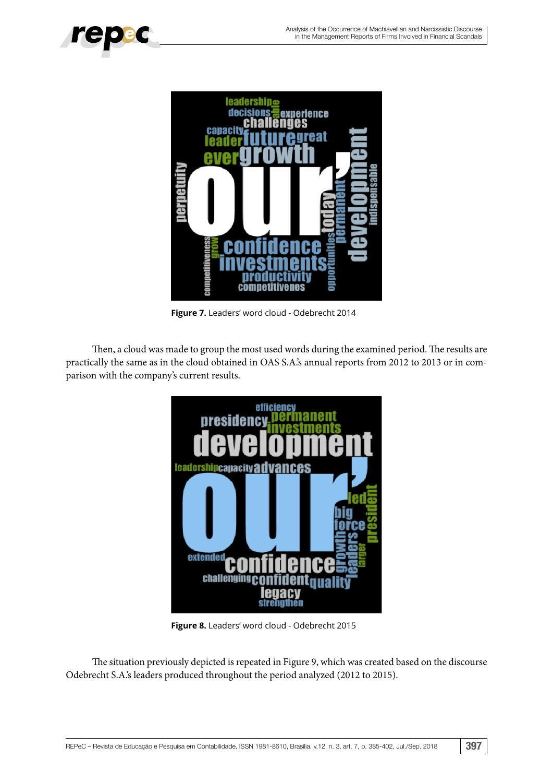

**Figure 7.** Leaders' word cloud - Odebrecht 2014

Then, a cloud was made to group the most used words during the examined period. The results are practically the same as in the cloud obtained in OAS S.A.'s annual reports from 2012 to 2013 or in comparison with the company's current results.



**Figure 8.** Leaders' word cloud - Odebrecht 2015

The situation previously depicted is repeated in Figure 9, which was created based on the discourse Odebrecht S.A.'s leaders produced throughout the period analyzed (2012 to 2015).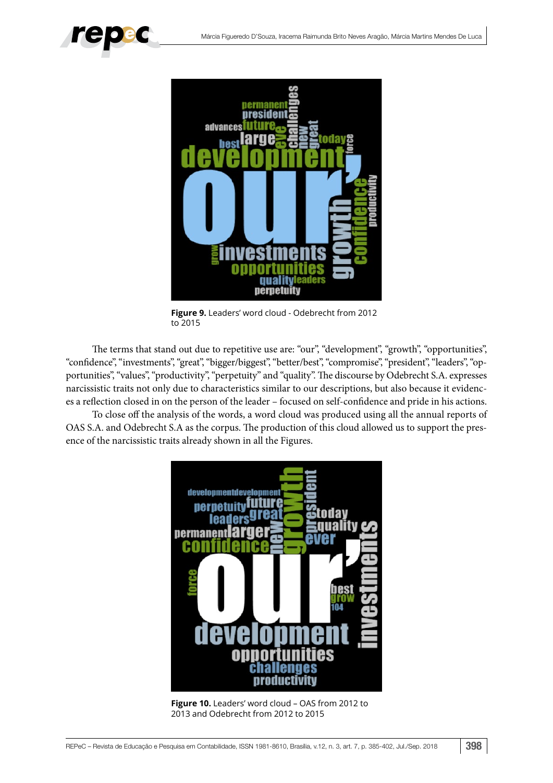



**Figure 9.** Leaders' word cloud - Odebrecht from 2012 to 2015

The terms that stand out due to repetitive use are: "our", "development", "growth", "opportunities", "confidence", "investments", "great", "bigger/biggest", "better/best", "compromise", "president", "leaders", "opportunities", "values", "productivity", "perpetuity" and "quality". The discourse by Odebrecht S.A. expresses narcissistic traits not only due to characteristics similar to our descriptions, but also because it evidences a reflection closed in on the person of the leader – focused on self-confidence and pride in his actions.

To close off the analysis of the words, a word cloud was produced using all the annual reports of OAS S.A. and Odebrecht S.A as the corpus. The production of this cloud allowed us to support the presence of the narcissistic traits already shown in all the Figures.



**Figure 10.** Leaders' word cloud – OAS from 2012 to 2013 and Odebrecht from 2012 to 2015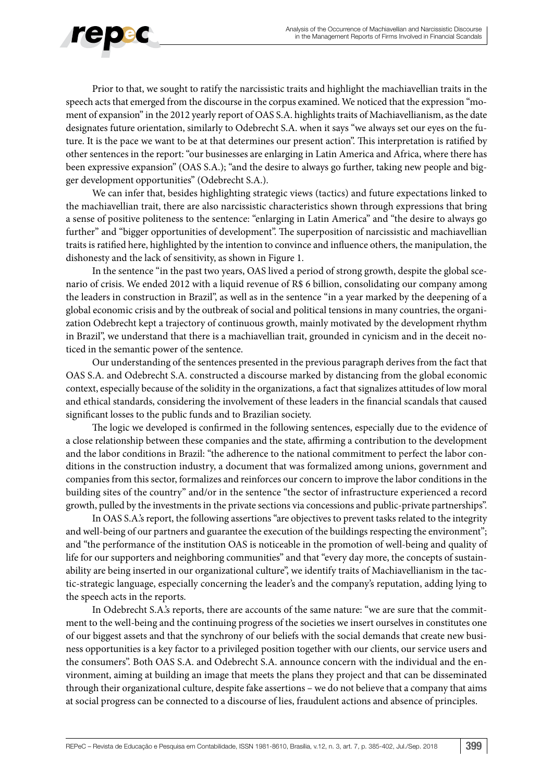

Prior to that, we sought to ratify the narcissistic traits and highlight the machiavellian traits in the speech acts that emerged from the discourse in the corpus examined. We noticed that the expression "moment of expansion" in the 2012 yearly report of OAS S.A. highlights traits of Machiavellianism, as the date designates future orientation, similarly to Odebrecht S.A. when it says "we always set our eyes on the future. It is the pace we want to be at that determines our present action". This interpretation is ratified by other sentences in the report: "our businesses are enlarging in Latin America and Africa, where there has been expressive expansion" (OAS S.A.); "and the desire to always go further, taking new people and bigger development opportunities" (Odebrecht S.A.).

We can infer that, besides highlighting strategic views (tactics) and future expectations linked to the machiavellian trait, there are also narcissistic characteristics shown through expressions that bring a sense of positive politeness to the sentence: "enlarging in Latin America" and "the desire to always go further" and "bigger opportunities of development". The superposition of narcissistic and machiavellian traits is ratified here, highlighted by the intention to convince and influence others, the manipulation, the dishonesty and the lack of sensitivity, as shown in Figure 1.

In the sentence "in the past two years, OAS lived a period of strong growth, despite the global scenario of crisis. We ended 2012 with a liquid revenue of R\$ 6 billion, consolidating our company among the leaders in construction in Brazil", as well as in the sentence "in a year marked by the deepening of a global economic crisis and by the outbreak of social and political tensions in many countries, the organization Odebrecht kept a trajectory of continuous growth, mainly motivated by the development rhythm in Brazil", we understand that there is a machiavellian trait, grounded in cynicism and in the deceit noticed in the semantic power of the sentence.

Our understanding of the sentences presented in the previous paragraph derives from the fact that OAS S.A. and Odebrecht S.A. constructed a discourse marked by distancing from the global economic context, especially because of the solidity in the organizations, a fact that signalizes attitudes of low moral and ethical standards, considering the involvement of these leaders in the financial scandals that caused significant losses to the public funds and to Brazilian society.

The logic we developed is confirmed in the following sentences, especially due to the evidence of a close relationship between these companies and the state, affirming a contribution to the development and the labor conditions in Brazil: "the adherence to the national commitment to perfect the labor conditions in the construction industry, a document that was formalized among unions, government and companies from this sector, formalizes and reinforces our concern to improve the labor conditions in the building sites of the country" and/or in the sentence "the sector of infrastructure experienced a record growth, pulled by the investments in the private sections via concessions and public-private partnerships".

In OAS S.A.'s report, the following assertions "are objectives to prevent tasks related to the integrity and well-being of our partners and guarantee the execution of the buildings respecting the environment"; and "the performance of the institution OAS is noticeable in the promotion of well-being and quality of life for our supporters and neighboring communities" and that "every day more, the concepts of sustainability are being inserted in our organizational culture", we identify traits of Machiavellianism in the tactic-strategic language, especially concerning the leader's and the company's reputation, adding lying to the speech acts in the reports.

In Odebrecht S.A.'s reports, there are accounts of the same nature: "we are sure that the commitment to the well-being and the continuing progress of the societies we insert ourselves in constitutes one of our biggest assets and that the synchrony of our beliefs with the social demands that create new business opportunities is a key factor to a privileged position together with our clients, our service users and the consumers". Both OAS S.A. and Odebrecht S.A. announce concern with the individual and the environment, aiming at building an image that meets the plans they project and that can be disseminated through their organizational culture, despite fake assertions – we do not believe that a company that aims at social progress can be connected to a discourse of lies, fraudulent actions and absence of principles.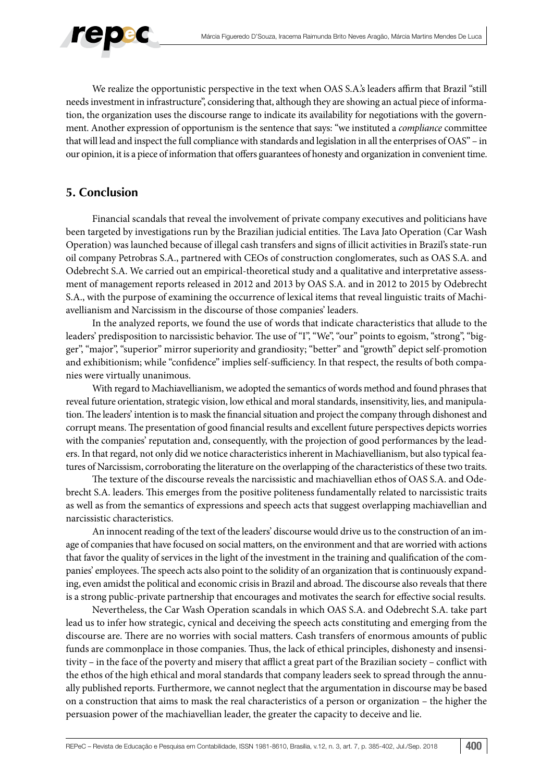

We realize the opportunistic perspective in the text when OAS S.A.'s leaders affirm that Brazil "still needs investment in infrastructure", considering that, although they are showing an actual piece of information, the organization uses the discourse range to indicate its availability for negotiations with the government. Another expression of opportunism is the sentence that says: "we instituted a *compliance* committee that will lead and inspect the full compliance with standards and legislation in all the enterprises of OAS" – in our opinion, it is a piece of information that offers guarantees of honesty and organization in convenient time.

## **5. Conclusion**

Financial scandals that reveal the involvement of private company executives and politicians have been targeted by investigations run by the Brazilian judicial entities. The Lava Jato Operation (Car Wash Operation) was launched because of illegal cash transfers and signs of illicit activities in Brazil's state-run oil company Petrobras S.A., partnered with CEOs of construction conglomerates, such as OAS S.A. and Odebrecht S.A. We carried out an empirical-theoretical study and a qualitative and interpretative assessment of management reports released in 2012 and 2013 by OAS S.A. and in 2012 to 2015 by Odebrecht S.A., with the purpose of examining the occurrence of lexical items that reveal linguistic traits of Machiavellianism and Narcissism in the discourse of those companies' leaders.

In the analyzed reports, we found the use of words that indicate characteristics that allude to the leaders' predisposition to narcissistic behavior. The use of "I", "We", "our" points to egoism, "strong", "bigger", "major", "superior" mirror superiority and grandiosity; "better" and "growth" depict self-promotion and exhibitionism; while "confidence" implies self-sufficiency. In that respect, the results of both companies were virtually unanimous.

With regard to Machiavellianism, we adopted the semantics of words method and found phrases that reveal future orientation, strategic vision, low ethical and moral standards, insensitivity, lies, and manipulation. The leaders' intention is to mask the financial situation and project the company through dishonest and corrupt means. The presentation of good financial results and excellent future perspectives depicts worries with the companies' reputation and, consequently, with the projection of good performances by the leaders. In that regard, not only did we notice characteristics inherent in Machiavellianism, but also typical features of Narcissism, corroborating the literature on the overlapping of the characteristics of these two traits.

The texture of the discourse reveals the narcissistic and machiavellian ethos of OAS S.A. and Odebrecht S.A. leaders. This emerges from the positive politeness fundamentally related to narcissistic traits as well as from the semantics of expressions and speech acts that suggest overlapping machiavellian and narcissistic characteristics.

An innocent reading of the text of the leaders' discourse would drive us to the construction of an image of companies that have focused on social matters, on the environment and that are worried with actions that favor the quality of services in the light of the investment in the training and qualification of the companies' employees. The speech acts also point to the solidity of an organization that is continuously expanding, even amidst the political and economic crisis in Brazil and abroad. The discourse also reveals that there is a strong public-private partnership that encourages and motivates the search for effective social results.

Nevertheless, the Car Wash Operation scandals in which OAS S.A. and Odebrecht S.A. take part lead us to infer how strategic, cynical and deceiving the speech acts constituting and emerging from the discourse are. There are no worries with social matters. Cash transfers of enormous amounts of public funds are commonplace in those companies. Thus, the lack of ethical principles, dishonesty and insensitivity – in the face of the poverty and misery that afflict a great part of the Brazilian society – conflict with the ethos of the high ethical and moral standards that company leaders seek to spread through the annually published reports. Furthermore, we cannot neglect that the argumentation in discourse may be based on a construction that aims to mask the real characteristics of a person or organization – the higher the persuasion power of the machiavellian leader, the greater the capacity to deceive and lie.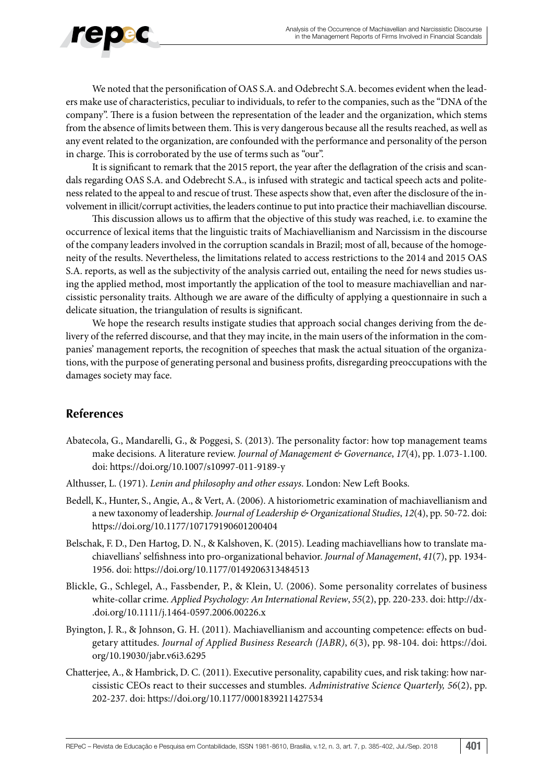

We noted that the personification of OAS S.A. and Odebrecht S.A. becomes evident when the leaders make use of characteristics, peculiar to individuals, to refer to the companies, such as the "DNA of the company". There is a fusion between the representation of the leader and the organization, which stems from the absence of limits between them. This is very dangerous because all the results reached, as well as any event related to the organization, are confounded with the performance and personality of the person in charge. This is corroborated by the use of terms such as "our".

It is significant to remark that the 2015 report, the year after the deflagration of the crisis and scandals regarding OAS S.A. and Odebrecht S.A., is infused with strategic and tactical speech acts and politeness related to the appeal to and rescue of trust. These aspects show that, even after the disclosure of the involvement in illicit/corrupt activities, the leaders continue to put into practice their machiavellian discourse.

This discussion allows us to affirm that the objective of this study was reached, i.e. to examine the occurrence of lexical items that the linguistic traits of Machiavellianism and Narcissism in the discourse of the company leaders involved in the corruption scandals in Brazil; most of all, because of the homogeneity of the results. Nevertheless, the limitations related to access restrictions to the 2014 and 2015 OAS S.A. reports, as well as the subjectivity of the analysis carried out, entailing the need for news studies using the applied method, most importantly the application of the tool to measure machiavellian and narcissistic personality traits. Although we are aware of the difficulty of applying a questionnaire in such a delicate situation, the triangulation of results is significant.

We hope the research results instigate studies that approach social changes deriving from the delivery of the referred discourse, and that they may incite, in the main users of the information in the companies' management reports, the recognition of speeches that mask the actual situation of the organizations, with the purpose of generating personal and business profits, disregarding preoccupations with the damages society may face.

# **References**

- Abatecola, G., Mandarelli, G., & Poggesi, S. (2013). The personality factor: how top management teams make decisions. A literature review. *Journal of Management & Governance*, *17*(4), pp. 1.073-1.100. doi:<https://doi.org/10.1007/s10997-011-9189-y>
- Althusser, L. (1971). *Lenin and philosophy and other essays*. London: New Left Books.
- Bedell, K., Hunter, S., Angie, A., & Vert, A. (2006). A historiometric examination of machiavellianism and a new taxonomy of leadership. *Journal of Leadership & Organizational Studies*, *12*(4), pp. 50-72. doi: <https://doi.org/10.1177/107179190601200404>
- Belschak, F. D., Den Hartog, D. N., & Kalshoven, K. (2015). Leading machiavellians how to translate machiavellians' selfishness into pro-organizational behavior. *Journal of Management*, *41*(7), pp. 1934- 1956. doi: [https://doi.org/10.1177/0149206313484513](https://doi.org/10.1177%2F0149206313484513)
- Blickle, G., Schlegel, A., Fassbender, P., & Klein, U. (2006). Some personality correlates of business white-collar crime. *Applied Psychology: An International Review*, *55*(2), pp. 220-233. doi: [http://dx-](http://dx.doi.org/10.1111/j.1464-0597.2006.00226.x) [.doi.org/10.1111/j.1464-0597.2006.00226.x](http://dx.doi.org/10.1111/j.1464-0597.2006.00226.x)
- Byington, J. R., & Johnson, G. H. (2011). Machiavellianism and accounting competence: effects on budgetary attitudes. *Journal of Applied Business Research (JABR)*, *6*(3), pp. 98-104. doi: [https://doi.](https://doi.org/10.19030/jabr.v6i3.6295) [org/10.19030/jabr.v6i3.6295](https://doi.org/10.19030/jabr.v6i3.6295)
- Chatterjee, A., & Hambrick, D. C. (2011). Executive personality, capability cues, and risk taking: how narcissistic CEOs react to their successes and stumbles. *Administrative Science Quarterly, 56*(2), pp. 202-237. doi: <https://doi.org/10.1177/0001839211427534>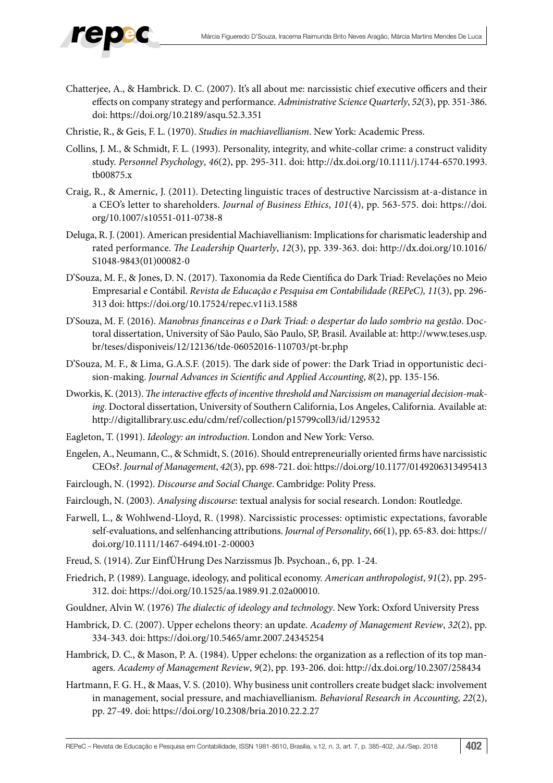

- Chatterjee, A., & Hambrick. D. C. (2007). It's all about me: narcissistic chief executive officers and their effects on company strategy and performance. *Administrative Science Quarterly*, *52*(3), pp. 351-386. doi:<https://doi.org/10.2189/asqu.52.3.351>
- Christie, R., & Geis, F. L. (1970). *Studies in machiavellianism*. New York: Academic Press.
- Collins, J. M., & Schmidt, F. L. (1993). Personality, integrity, and white-collar crime: a construct validity study. *Personnel Psychology*, *46*(2), pp. 295-311. doi: [http://dx.doi.org/10.1111/j.1744-6570.1993.](http://dx.doi.org/10.1111/j.1744-6570.1993.tb00875.x) [tb00875.x](http://dx.doi.org/10.1111/j.1744-6570.1993.tb00875.x)
- Craig, R., & Amernic, J. (2011). Detecting linguistic traces of destructive Narcissism at-a-distance in a CEO's letter to shareholders. *Journal of Business Ethics*, *101*(4), pp. 563-575. doi: [https://doi.](https://doi.org/10.1007/s10551-011-0738-8) [org/10.1007/s10551-011-0738-8](https://doi.org/10.1007/s10551-011-0738-8)
- Deluga, R. J. (2001). American presidential Machiavellianism: Implications for charismatic leadership and rated performance. *The Leadership Quarterly*, *12*(3), pp. 339-363. doi: [http://dx.doi.org/10.1016/](http://dx.doi.org/10.1016/S1048-9843(01)00082-0) [S1048-9843\(01\)00082-0](http://dx.doi.org/10.1016/S1048-9843(01)00082-0)
- D'Souza, M. F., & Jones, D. N. (2017). Taxonomia da Rede Científica do Dark Triad: Revelações no Meio Empresarial e Contábil. *Revista de Educação e Pesquisa em Contabilidade (REPeC), 11*(3), pp. 296- 313 doi: <https://doi.org/10.17524/repec.v11i3.1588>
- D'Souza, M. F. (2016). *Manobras financeiras e o Dark Triad: o despertar do lado sombrio na gestão*. Doctoral dissertation, University of São Paulo, São Paulo, SP, Brasil. Available at: [http://www.teses.usp.](http://www.teses.usp.br/teses/disponiveis/12/12136/tde-06052016-110703/pt-br.php) [br/teses/disponiveis/12/12136/tde-06052016-110703/pt-br.php](http://www.teses.usp.br/teses/disponiveis/12/12136/tde-06052016-110703/pt-br.php)
- D'Souza, M. F., & Lima, G.A.S.F. (2015). The dark side of power: the Dark Triad in opportunistic decision-making. *Journal Advances in Scientific and Applied Accounting*, *8*(2), pp. 135-156.
- Dworkis, K. (2013). *The interactive effects of incentive threshold and Narcissism on managerial decision-making*. Doctoral dissertation, University of Southern California, Los Angeles, California. Available at: <http://digitallibrary.usc.edu/cdm/ref/collection/p15799coll3/id/129532>
- Eagleton, T. (1991). *Ideology: an introduction*. London and New York: Verso.
- Engelen, A., Neumann, C., & Schmidt, S. (2016). Should entrepreneurially oriented firms have narcissistic CEOs?. *Journal of Management*, *42*(3), pp. 698-721. doi:<https://doi.org/10.1177/0149206313495413>
- Fairclough, N. (1992). *Discourse and Social Change*. Cambridge: Polity Press.
- Fairclough, N. (2003). *Analysing discourse*: textual analysis for social research. London: Routledge.
- Farwell, L., & Wohlwend-Lloyd, R. (1998). Narcissistic processes: optimistic expectations, favorable self-evaluations, and selfenhancing attributions. *Journal of Personality*, *66*(1), pp. 65-83. doi: [https://](https://doi.org/10.1111/1467-6494.t01-2-00003) [doi.org/10.1111/1467-6494.t01-2-00003](https://doi.org/10.1111/1467-6494.t01-2-00003)
- Freud, S. (1914). Zur EinfÜHrung Des Narzissmus Jb. Psychoan., 6, pp. 1-24.
- Friedrich, P. (1989). Language, ideology, and political economy. *American anthropologist*, *91*(2), pp. 295- 312. doi:<https://doi.org/10.1525/aa.1989.91.2.02a00010>.
- Gouldner, Alvin W. (1976) *The dialectic of ideology and technology*. New York: Oxford University Press
- Hambrick, D. C. (2007). Upper echelons theory: an update. *Academy of Management Review*, *32*(2), pp. 334-343. doi: <https://doi.org/10.5465/amr.2007.24345254>
- Hambrick, D. C., & Mason, P. A. (1984). Upper echelons: the organization as a reflection of its top managers. *Academy of Management Review*, *9*(2), pp. 193-206. doi:<http://dx.doi.org/10.2307/258434>
- Hartmann, F. G. H., & Maas, V. S. (2010). Why business unit controllers create budget slack: involvement in management, social pressure, and machiavellianism. *Behavioral Research in Accounting, 22*(2), pp. 27-49. doi:<https://doi.org/10.2308/bria.2010.22.2.27>

REPeC – Revista de Educação e Pesquisa em Contabilidade, ISSN 1981-8610, Brasília, v.12, n. 3, art. 7, p. 385-402, Jul./Sep. 2018 402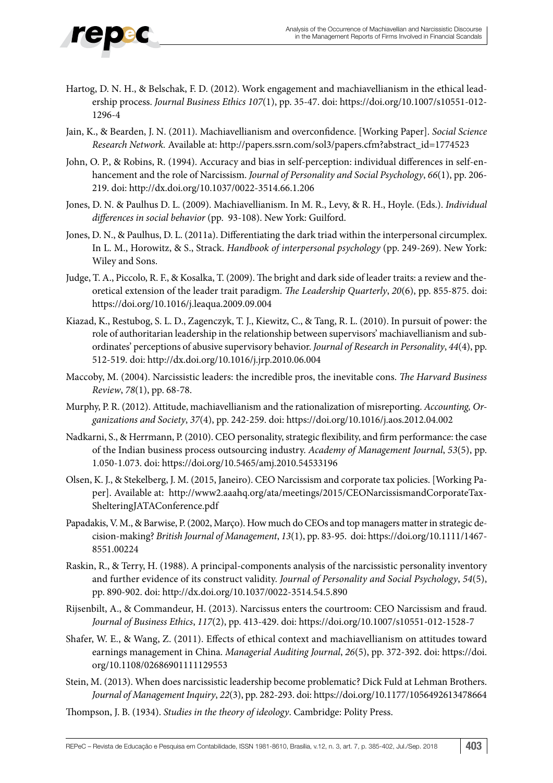## Hartog, D. N. H., & Belschak, F. D. (2012). Work engagement and machiavellianism in the ethical leadership process. *Journal Business Ethics 107*(1), pp. 35-47. doi: [https://doi.org/10.1007/s10551-012-](https://doi.org/10.1007/s10551-012-1296-4) [1296-4](https://doi.org/10.1007/s10551-012-1296-4)

- Jain, K., & Bearden, J. N. (2011). Machiavellianism and overconfidence. [Working Paper]. *Social Science Research Network.* Available at: [http://papers.ssrn.com/sol3/papers.cfm?abstract\\_id=1774523](http://papers.ssrn.com/sol3/papers.cfm?abstract_id=1774523)
- John, O. P., & Robins, R. (1994). Accuracy and bias in self-perception: individual differences in self-enhancement and the role of Narcissism. *Journal of Personality and Social Psychology*, *66*(1), pp. 206- 219. doi:<http://dx.doi.org/10.1037/0022-3514.66.1.206>
- Jones, D. N. & Paulhus D. L. (2009). Machiavellianism. In M. R., Levy, & R. H., Hoyle. (Eds.). *Individual differences in social behavior* (pp. 93-108). New York: Guilford.
- Jones, D. N., & Paulhus, D. L. (2011a). Differentiating the dark triad within the interpersonal circumplex. In L. M., Horowitz, & S., Strack. *Handbook of interpersonal psychology* (pp. 249-269). New York: Wiley and Sons.
- Judge, T. A., Piccolo, R. F., & Kosalka, T. (2009). The bright and dark side of leader traits: a review and theoretical extension of the leader trait paradigm. *The Leadership Quarterly*, *20*(6), pp. 855-875. doi: <https://doi.org/10.1016/j.leaqua.2009.09.004>
- Kiazad, K., Restubog, S. L. D., Zagenczyk, T. J., Kiewitz, C., & Tang, R. L. (2010). In pursuit of power: the role of authoritarian leadership in the relationship between supervisors' machiavellianism and subordinates' perceptions of abusive supervisory behavior. *Journal of Research in Personality*, *44*(4), pp. 512-519. doi: <http://dx.doi.org/10.1016/j.jrp.2010.06.004>
- Maccoby, M. (2004). Narcissistic leaders: the incredible pros, the inevitable cons. *The Harvard Business Review*, *78*(1), pp. 68-78.
- Murphy, P. R. (2012). Attitude, machiavellianism and the rationalization of misreporting. *Accounting, Organizations and Society*, *37*(4), pp. 242-259. doi:<https://doi.org/10.1016/j.aos.2012.04.002>
- Nadkarni, S., & Herrmann, P. (2010). CEO personality, strategic flexibility, and firm performance: the case of the Indian business process outsourcing industry. *Academy of Management Journal*, *53*(5), pp. 1.050-1.073. doi:<https://doi.org/10.5465/amj.2010.54533196>
- Olsen, K. J., & Stekelberg, J. M. (2015, Janeiro). CEO Narcissism and corporate tax policies. [Working Paper]. Available at: [http://www2.aaahq.org/ata/meetings/2015/CEONarcissismandCorporateTax-](http://www2.aaahq.org/ata/meetings/2015/CEONarcissismandCorporateTaxShelteringJATAConference.pdf)[ShelteringJATAConference.pdf](http://www2.aaahq.org/ata/meetings/2015/CEONarcissismandCorporateTaxShelteringJATAConference.pdf)
- Papadakis, V. M., & Barwise, P. (2002, Março). How much do CEOs and top managers matter in strategic decision-making? *British Journal of Management*, *13*(1), pp. 83-95. doi: [https://doi.org/10.1111/1467-](https://doi.org/10.1111/1467-8551.00224) [8551.00224](https://doi.org/10.1111/1467-8551.00224)
- Raskin, R., & Terry, H. (1988). A principal-components analysis of the narcissistic personality inventory and further evidence of its construct validity. *Journal of Personality and Social Psychology*, *54*(5), pp. 890-902. doi: <http://dx.doi.org/10.1037/0022-3514.54.5.890>
- Rijsenbilt, A., & Commandeur, H. (2013). Narcissus enters the courtroom: CEO Narcissism and fraud. *Journal of Business Ethics*, *117*(2), pp. 413-429. doi: <https://doi.org/10.1007/s10551-012-1528-7>
- Shafer, W. E., & Wang, Z. (2011). Effects of ethical context and machiavellianism on attitudes toward earnings management in China. *Managerial Auditing Journal*, *26*(5), pp. 372-392. doi: [https://doi.](https://doi.org/10.1108/02686901111129553) [org/10.1108/02686901111129553](https://doi.org/10.1108/02686901111129553)
- Stein, M. (2013). When does narcissistic leadership become problematic? Dick Fuld at Lehman Brothers. *Journal of Management Inquiry*, *22*(3), pp. 282-293. doi:<https://doi.org/10.1177/1056492613478664>
- Thompson, J. B. (1934). *Studies in the theory of ideology*. Cambridge: Polity Press.